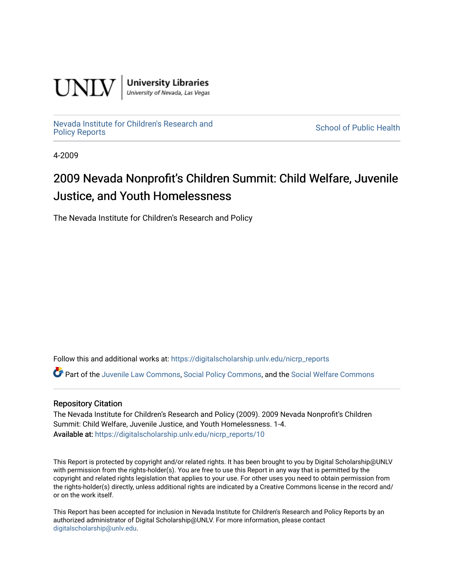

**University Libraries**<br>University of Nevada, Las Vegas

[Nevada Institute for Children's Research and](https://digitalscholarship.unlv.edu/nicrp_reports)

**School of Public Health** 

4-2009

# 2009 Nevada Nonprofit's Children Summit: Child Welfare, Juvenile Justice, and Youth Homelessness

The Nevada Institute for Children's Research and Policy

Follow this and additional works at: [https://digitalscholarship.unlv.edu/nicrp\\_reports](https://digitalscholarship.unlv.edu/nicrp_reports?utm_source=digitalscholarship.unlv.edu%2Fnicrp_reports%2F10&utm_medium=PDF&utm_campaign=PDFCoverPages)

Part of the [Juvenile Law Commons](http://network.bepress.com/hgg/discipline/851?utm_source=digitalscholarship.unlv.edu%2Fnicrp_reports%2F10&utm_medium=PDF&utm_campaign=PDFCoverPages), [Social Policy Commons,](http://network.bepress.com/hgg/discipline/1030?utm_source=digitalscholarship.unlv.edu%2Fnicrp_reports%2F10&utm_medium=PDF&utm_campaign=PDFCoverPages) and the [Social Welfare Commons](http://network.bepress.com/hgg/discipline/401?utm_source=digitalscholarship.unlv.edu%2Fnicrp_reports%2F10&utm_medium=PDF&utm_campaign=PDFCoverPages)

#### Repository Citation

The Nevada Institute for Children's Research and Policy (2009). 2009 Nevada Nonprofit's Children Summit: Child Welfare, Juvenile Justice, and Youth Homelessness. 1-4. Available at: [https://digitalscholarship.unlv.edu/nicrp\\_reports/10](https://digitalscholarship.unlv.edu/nicrp_reports/10) 

This Report is protected by copyright and/or related rights. It has been brought to you by Digital Scholarship@UNLV with permission from the rights-holder(s). You are free to use this Report in any way that is permitted by the copyright and related rights legislation that applies to your use. For other uses you need to obtain permission from the rights-holder(s) directly, unless additional rights are indicated by a Creative Commons license in the record and/ or on the work itself.

This Report has been accepted for inclusion in Nevada Institute for Children's Research and Policy Reports by an authorized administrator of Digital Scholarship@UNLV. For more information, please contact [digitalscholarship@unlv.edu](mailto:digitalscholarship@unlv.edu).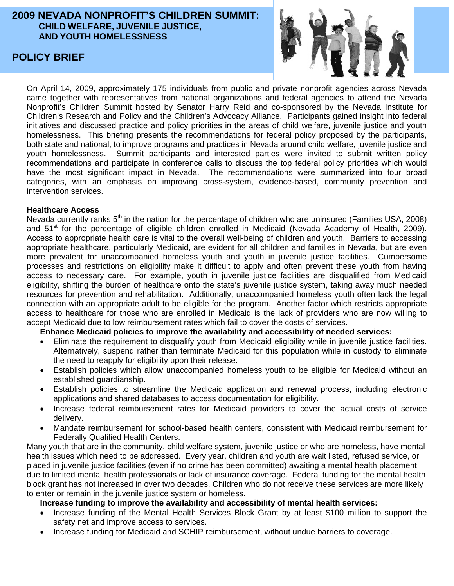# **2009 NEVADA NONPROFIT'S CHILDREN SUMMIT: CHILD WELFARE, JUVENILE JUSTICE, AND YOUTH HOMELESSNESS**

# **POLICY BRIEF**



On April 14, 2009, approximately 175 individuals from public and private nonprofit agencies across Nevada came together with representatives from national organizations and federal agencies to attend the Nevada Nonprofit's Children Summit hosted by Senator Harry Reid and co-sponsored by the Nevada Institute for Children's Research and Policy and the Children's Advocacy Alliance. Participants gained insight into federal initiatives and discussed practice and policy priorities in the areas of child welfare, juvenile justice and youth homelessness. This briefing presents the recommendations for federal policy proposed by the participants, both state and national, to improve programs and practices in Nevada around child welfare, juvenile justice and youth homelessness. Summit participants and interested parties were invited to submit written policy recommendations and participate in conference calls to discuss the top federal policy priorities which would have the most significant impact in Nevada. The recommendations were summarized into four broad categories, with an emphasis on improving cross-system, evidence-based, community prevention and intervention services.

# **Healthcare Access**

Nevada currently ranks 5<sup>th</sup> in the nation for the percentage of children who are uninsured (Families USA, 2008) and 51<sup>st</sup> for the percentage of eligible children enrolled in Medicaid (Nevada Academy of Health, 2009). Access to appropriate health care is vital to the overall well-being of children and youth. Barriers to accessing appropriate healthcare, particularly Medicaid, are evident for all children and families in Nevada, but are even more prevalent for unaccompanied homeless youth and youth in juvenile justice facilities. Cumbersome processes and restrictions on eligibility make it difficult to apply and often prevent these youth from having access to necessary care. For example, youth in juvenile justice facilities are disqualified from Medicaid eligibility, shifting the burden of healthcare onto the state's juvenile justice system, taking away much needed resources for prevention and rehabilitation. Additionally, unaccompanied homeless youth often lack the legal connection with an appropriate adult to be eligible for the program. Another factor which restricts appropriate access to healthcare for those who are enrolled in Medicaid is the lack of providers who are now willing to accept Medicaid due to low reimbursement rates which fail to cover the costs of services.

# **Enhance Medicaid policies to improve the availability and accessibility of needed services:**

- Eliminate the requirement to disqualify youth from Medicaid eligibility while in juvenile justice facilities. Alternatively, suspend rather than terminate Medicaid for this population while in custody to eliminate the need to reapply for eligibility upon their release.
- Establish policies which allow unaccompanied homeless youth to be eligible for Medicaid without an established guardianship.
- Establish policies to streamline the Medicaid application and renewal process, including electronic applications and shared databases to access documentation for eligibility.
- Increase federal reimbursement rates for Medicaid providers to cover the actual costs of service delivery.
- Mandate reimbursement for school-based health centers, consistent with Medicaid reimbursement for Federally Qualified Health Centers.

Many youth that are in the community, child welfare system, juvenile justice or who are homeless, have mental health issues which need to be addressed. Every year, children and youth are wait listed, refused service, or placed in juvenile justice facilities (even if no crime has been committed) awaiting a mental health placement due to limited mental health professionals or lack of insurance coverage. Federal funding for the mental health block grant has not increased in over two decades. Children who do not receive these services are more likely to enter or remain in the juvenile justice system or homeless.

# **Increase funding to improve the availability and accessibility of mental health services:**

- Increase funding of the Mental Health Services Block Grant by at least \$100 million to support the safety net and improve access to services.
- Increase funding for Medicaid and SCHIP reimbursement, without undue barriers to coverage.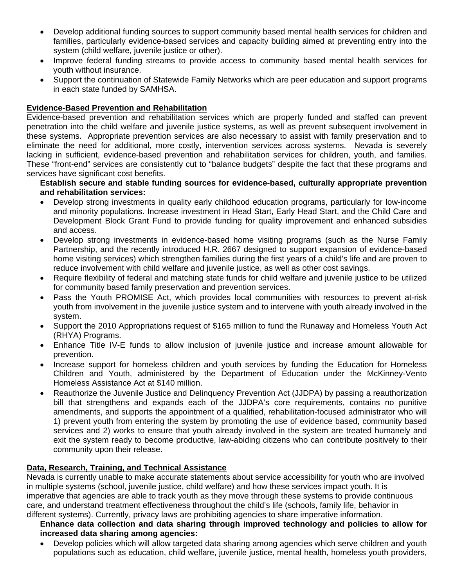- Develop additional funding sources to support community based mental health services for children and families, particularly evidence-based services and capacity building aimed at preventing entry into the system (child welfare, juvenile justice or other).
- Improve federal funding streams to provide access to community based mental health services for youth without insurance.
- Support the continuation of Statewide Family Networks which are peer education and support programs in each state funded by SAMHSA.

### **Evidence-Based Prevention and Rehabilitation**

Evidence-based prevention and rehabilitation services which are properly funded and staffed can prevent penetration into the child welfare and juvenile justice systems, as well as prevent subsequent involvement in these systems. Appropriate prevention services are also necessary to assist with family preservation and to eliminate the need for additional, more costly, intervention services across systems. Nevada is severely lacking in sufficient, evidence-based prevention and rehabilitation services for children, youth, and families. These "front-end" services are consistently cut to "balance budgets" despite the fact that these programs and services have significant cost benefits.

#### **Establish secure and stable funding sources for evidence-based, culturally appropriate prevention and rehabilitation services:**

- Develop strong investments in quality early childhood education programs, particularly for low-income and minority populations. Increase investment in Head Start, Early Head Start, and the Child Care and Development Block Grant Fund to provide funding for quality improvement and enhanced subsidies and access.
- Develop strong investments in evidence-based home visiting programs (such as the Nurse Family Partnership, and the recently introduced H.R. 2667 designed to support expansion of evidence-based home visiting services) which strengthen families during the first years of a child's life and are proven to reduce involvement with child welfare and juvenile justice, as well as other cost savings.
- Require flexibility of federal and matching state funds for child welfare and juvenile justice to be utilized for community based family preservation and prevention services.
- Pass the Youth PROMISE Act, which provides local communities with resources to prevent at-risk youth from involvement in the juvenile justice system and to intervene with youth already involved in the system.
- Support the 2010 Appropriations request of \$165 million to fund the Runaway and Homeless Youth Act (RHYA) Programs.
- Enhance Title IV-E funds to allow inclusion of juvenile justice and increase amount allowable for prevention.
- Increase support for homeless children and youth services by funding the Education for Homeless Children and Youth, administered by the Department of Education under the McKinney-Vento Homeless Assistance Act at \$140 million.
- Reauthorize the Juvenile Justice and Delinquency Prevention Act (JJDPA) by passing a reauthorization bill that strengthens and expands each of the JJDPA's core requirements, contains no punitive amendments, and supports the appointment of a qualified, rehabilitation-focused administrator who will 1) prevent youth from entering the system by promoting the use of evidence based, community based services and 2) works to ensure that youth already involved in the system are treated humanely and exit the system ready to become productive, law-abiding citizens who can contribute positively to their community upon their release.

# **Data, Research, Training, and Technical Assistance**

Nevada is currently unable to make accurate statements about service accessibility for youth who are involved in multiple systems (school, juvenile justice, child welfare) and how these services impact youth. It is imperative that agencies are able to track youth as they move through these systems to provide continuous care, and understand treatment effectiveness throughout the child's life (schools, family life, behavior in different systems). Currently, privacy laws are prohibiting agencies to share imperative information.

# **Enhance data collection and data sharing through improved technology and policies to allow for increased data sharing among agencies:**

• Develop policies which will allow targeted data sharing among agencies which serve children and youth populations such as education, child welfare, juvenile justice, mental health, homeless youth providers,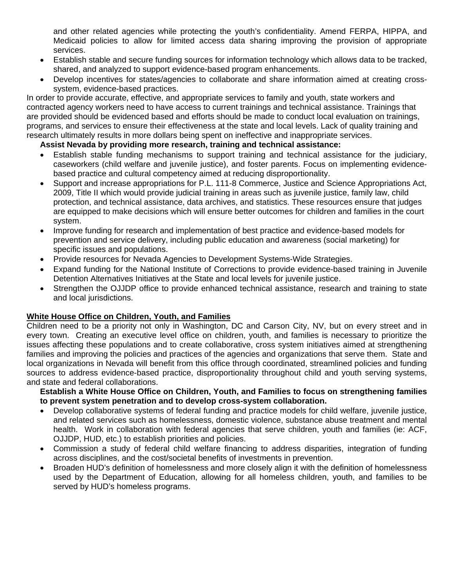and other related agencies while protecting the youth's confidentiality. Amend FERPA, HIPPA, and Medicaid policies to allow for limited access data sharing improving the provision of appropriate services.

- Establish stable and secure funding sources for information technology which allows data to be tracked, shared, and analyzed to support evidence-based program enhancements.
- Develop incentives for states/agencies to collaborate and share information aimed at creating crosssystem, evidence-based practices.

In order to provide accurate, effective, and appropriate services to family and youth, state workers and contracted agency workers need to have access to current trainings and technical assistance. Trainings that are provided should be evidenced based and efforts should be made to conduct local evaluation on trainings, programs, and services to ensure their effectiveness at the state and local levels. Lack of quality training and research ultimately results in more dollars being spent on ineffective and inappropriate services.

# **Assist Nevada by providing more research, training and technical assistance:**

- Establish stable funding mechanisms to support training and technical assistance for the judiciary, caseworkers (child welfare and juvenile justice), and foster parents. Focus on implementing evidencebased practice and cultural competency aimed at reducing disproportionality.
- Support and increase appropriations for P.L. 111-8 Commerce, Justice and Science Appropriations Act, 2009, Title II which would provide judicial training in areas such as juvenile justice, family law, child protection, and technical assistance, data archives, and statistics. These resources ensure that judges are equipped to make decisions which will ensure better outcomes for children and families in the court system.
- Improve funding for research and implementation of best practice and evidence-based models for prevention and service delivery, including public education and awareness (social marketing) for specific issues and populations.
- Provide resources for Nevada Agencies to Development Systems-Wide Strategies.
- Expand funding for the National Institute of Corrections to provide evidence-based training in Juvenile Detention Alternatives Initiatives at the State and local levels for juvenile justice.
- Strengthen the OJJDP office to provide enhanced technical assistance, research and training to state and local jurisdictions.

# **White House Office on Children, Youth, and Families**

Children need to be a priority not only in Washington, DC and Carson City, NV, but on every street and in every town. Creating an executive level office on children, youth, and families is necessary to prioritize the issues affecting these populations and to create collaborative, cross system initiatives aimed at strengthening families and improving the policies and practices of the agencies and organizations that serve them. State and local organizations in Nevada will benefit from this office through coordinated, streamlined policies and funding sources to address evidence-based practice, disproportionality throughout child and youth serving systems, and state and federal collaborations.

**Establish a White House Office on Children, Youth, and Families to focus on strengthening families to prevent system penetration and to develop cross-system collaboration.** 

- Develop collaborative systems of federal funding and practice models for child welfare, juvenile justice, and related services such as homelessness, domestic violence, substance abuse treatment and mental health. Work in collaboration with federal agencies that serve children, youth and families (ie: ACF, OJJDP, HUD, etc.) to establish priorities and policies.
- Commission a study of federal child welfare financing to address disparities, integration of funding across disciplines, and the cost/societal benefits of investments in prevention.
- Broaden HUD's definition of homelessness and more closely align it with the definition of homelessness used by the Department of Education, allowing for all homeless children, youth, and families to be served by HUD's homeless programs.